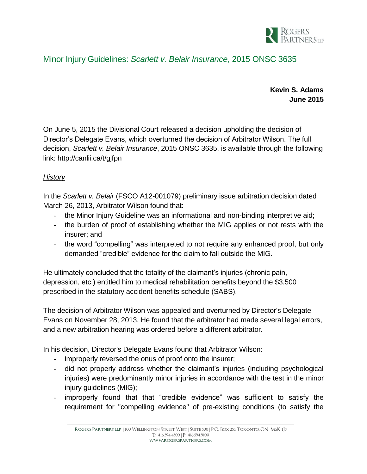

## Minor Injury Guidelines: *Scarlett v. Belair Insurance*, 2015 ONSC 3635

**Kevin S. Adams June 2015**

On June 5, 2015 the Divisional Court released a decision upholding the decision of Director's Delegate Evans, which overturned the decision of Arbitrator Wilson. The full decision, *Scarlett v. Belair Insurance*, 2015 ONSC 3635, is available through the following link:<http://canlii.ca/t/gjfpn>

## *History*

In the *Scarlett v. Belair* (FSCO A12-001079) preliminary issue arbitration decision dated March 26, 2013, Arbitrator Wilson found that:

- the Minor Injury Guideline was an informational and non-binding interpretive aid;
- the burden of proof of establishing whether the MIG applies or not rests with the insurer; and
- the word "compelling" was interpreted to not require any enhanced proof, but only demanded "credible" evidence for the claim to fall outside the MIG.

He ultimately concluded that the totality of the claimant's injuries (chronic pain, depression, etc.) entitled him to medical rehabilitation benefits beyond the \$3,500 prescribed in the statutory accident benefits schedule (SABS).

The decision of Arbitrator Wilson was appealed and overturned by Director's Delegate Evans on November 28, 2013. He found that the arbitrator had made several legal errors, and a new arbitration hearing was ordered before a different arbitrator.

In his decision, Director's Delegate Evans found that Arbitrator Wilson:

- improperly reversed the onus of proof onto the insurer;
- did not properly address whether the claimant's injuries (including psychological injuries) were predominantly minor injuries in accordance with the test in the minor injury guidelines (MIG);
- improperly found that that "credible evidence" was sufficient to satisfy the requirement for "compelling evidence" of pre-existing conditions (to satisfy the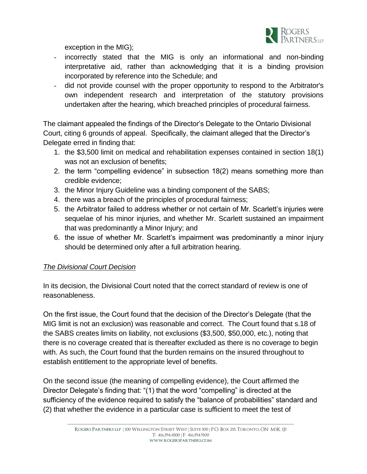

exception in the MIG);

- incorrectly stated that the MIG is only an informational and non-binding interpretative aid, rather than acknowledging that it is a binding provision incorporated by reference into the Schedule; and
- did not provide counsel with the proper opportunity to respond to the Arbitrator's own independent research and interpretation of the statutory provisions undertaken after the hearing, which breached principles of procedural fairness.

The claimant appealed the findings of the Director's Delegate to the Ontario Divisional Court, citing 6 grounds of appeal. Specifically, the claimant alleged that the Director's Delegate erred in finding that:

- 1. the \$3,500 limit on medical and rehabilitation expenses contained in section 18(1) was not an exclusion of benefits;
- 2. the term "compelling evidence" in subsection 18(2) means something more than credible evidence;
- 3. the Minor Injury Guideline was a binding component of the SABS;
- 4. there was a breach of the principles of procedural fairness;
- 5. the Arbitrator failed to address whether or not certain of Mr. Scarlett's injuries were sequelae of his minor injuries, and whether Mr. Scarlett sustained an impairment that was predominantly a Minor Injury; and
- 6. the issue of whether Mr. Scarlett's impairment was predominantly a minor injury should be determined only after a full arbitration hearing.

## *The Divisional Court Decision*

In its decision, the Divisional Court noted that the correct standard of review is one of reasonableness.

On the first issue, the Court found that the decision of the Director's Delegate (that the MIG limit is not an exclusion) was reasonable and correct. The Court found that s.18 of the SABS creates limits on liability, not exclusions (\$3,500, \$50,000, etc.), noting that there is no coverage created that is thereafter excluded as there is no coverage to begin with. As such, the Court found that the burden remains on the insured throughout to establish entitlement to the appropriate level of benefits.

On the second issue (the meaning of compelling evidence), the Court affirmed the Director Delegate's finding that: "(1) that the word "compelling" is directed at the sufficiency of the evidence required to satisfy the "balance of probabilities" standard and (2) that whether the evidence in a particular case is sufficient to meet the test of